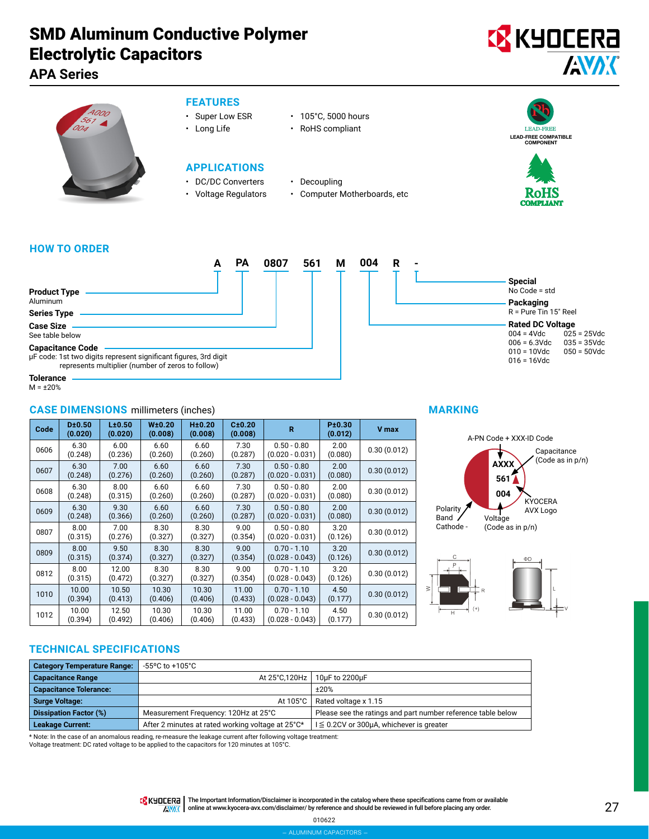## **APA Series**



- **FEATURES**
- Super Low ESR 105°C, 5000 hours
- Long Life RoHS compliant
- -

### **APPLICATIONS**

- DC/DC Converters Decoupling
- 
- 
- Voltage Regulators Computer Motherboards, etc







#### **HOW TO ORDER**

|                                                                                                                                                  | ΡA | 0807 | 561 | М | 004 | R |  |
|--------------------------------------------------------------------------------------------------------------------------------------------------|----|------|-----|---|-----|---|--|
|                                                                                                                                                  |    |      |     |   |     |   |  |
| <b>Product Type</b><br>Aluminum                                                                                                                  |    |      |     |   |     |   |  |
| <b>Series Type</b>                                                                                                                               |    |      |     |   |     |   |  |
| <b>Case Size</b><br>See table below                                                                                                              |    |      |     |   |     |   |  |
| <b>Capacitance Code</b><br>µF code: 1st two digits represent significant figures, 3rd digit<br>represents multiplier (number of zeros to follow) |    |      |     |   |     |   |  |
|                                                                                                                                                  |    |      |     |   |     |   |  |



**Tolerance**  $M = +20%$ 

#### **CASE DIMENSIONS** millimeters (inches) **Code D±0.50 (0.020) L±0.50 (0.020) W±0.20 (0.008) H±0.20 (0.008) C±0.20 (0.008) <sup>R</sup> P±0.30 (0.012) V max**  $0606 \begin{array}{|c|c|} 6.30 \\ 6.30 \\ 0.245 \end{array}$ (0.248) 6.00 (0.236) 6.60 (0.260) 6.60 (0.260) 7.30 (0.287) 0.50 - 0.80 (0.020 - 0.031)  $2.00$ <br>(0.080) (0.080) 0.30 (0.012)  $0607$  6.30 (0.248) 7.00 (0.276) 6.60 (0.260) 6.60 (0.260) 7.30 (0.287) 0.50 - 0.80 (0.020 - 0.031) 2.00  $\begin{array}{|c|c|c|c|} \hline 2.00 & 0.30 & (0.012) \ \hline (0.080) & \hline \end{array}$  $0608$  6.30 (0.248) 8.00 (0.315) 6.60 (0.260) 6.60 (0.260) 7.30 (0.287) 0.50 - 0.80 (0.020 - 0.031)  $2.00$ <br>(0.080) (0.080) 0.30 (0.012)  $0609$  6.30 (0.248) 9.30 (0.366) 6.60 (0.260) 6.60 (0.260) 7.30 (0.287)  $0.50 - 0.80$ (0.020 - 0.031) 2.00  $(0.080)$  0.30 (0.012)  $0807$  8.00 (0.315) 7.00 (0.276) 8.30 (0.327) 8.30 (0.327) 9.00 (0.354) 0.50 - 0.80 (0.020 - 0.031)  $3.20$ <br>(0.126)  $0.30(0.012)$  $0809$   $8.00$ (0.315) 9.50 (0.374) 8.30 (0.327) 8.30 (0.327) 9.00 (0.354)  $0.70 - 1.10$ (0.028 - 0.043)  $\frac{3.20}{(0.126)}$  $0.30(0.012)$  $0812 \begin{array}{ccc} 8.00 \\ 6.015 \end{array}$ (0.315) 12.00 (0.472) 8.30 (0.327) 8.30 (0.327) 9.00 (0.354)  $0.70 - 1.10$ (0.028 - 0.043) 3.20  $(0.126)$  0.30 (0.012)  $1010$  10.00 (0.394) 10.50 (0.413) 10.30 (0.406) 10.30 (0.406) 11.00 (0.433) 0.70 - 1.10 (0.028 - 0.043)  $4.50$ <br>(0.177)  $0.30(0.012)$  $\overline{1012}$  10.00 (0.394) 12.50 (0.492) 10.30 (0.406) 10.30 (0.406) 11.00 (0.433)  $0.70 - 1.10$ (0.028 - 0.043) 4.50  $(0.177)$  0.30 (0.012)

#### **MARKING**





### **TECHNICAL SPECIFICATIONS**

| <b>Category Temperature Range:</b> | -55°C to +105°C                                   |                                                              |
|------------------------------------|---------------------------------------------------|--------------------------------------------------------------|
| <b>Capacitance Range</b>           |                                                   | At 25°C,120Hz   10µF to 2200µF                               |
| <b>Capacitance Tolerance:</b>      |                                                   | ±20%                                                         |
| <b>Surge Voltage:</b>              |                                                   | At 105°C   Rated voltage x 1.15                              |
| <b>Dissipation Factor (%)</b>      | Measurement Frequency: 120Hz at 25°C              | Please see the ratings and part number reference table below |
| <b>Leakage Current:</b>            | After 2 minutes at rated working voltage at 25°C* | $I \leq 0.2$ CV or 300µA, whichever is greater               |

\* Note: In the case of an anomalous reading, re-measure the leakage current after following voltage treatment:

Voltage treatment: DC rated voltage to be applied to the capacitors for 120 minutes at 105°C.

TRINTERT | The Important Information/Disclaimer is incorporated in the catalog where these specifications came from or available AVAX online at [www.kyocera-avx.com/disclaimer/](http://www.kyocera-avx.com/disclaimer/) by reference and should be reviewed in full before placing any order.

> 010622 – aluminum capacitors –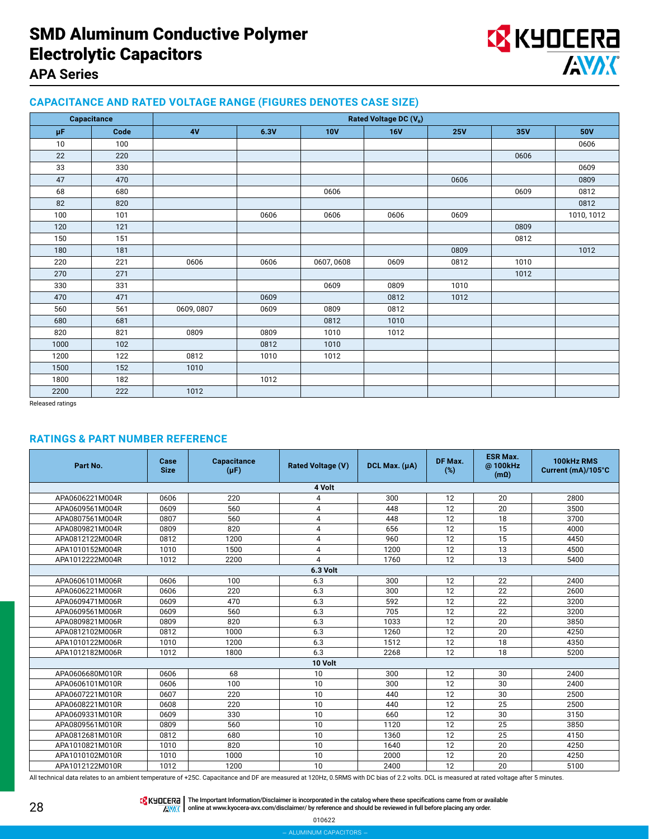

### **APA Series**

#### **CAPACITANCE AND RATED VOLTAGE RANGE (FIGURES DENOTES CASE SIZE)**

|      | Capacitance | Rated Voltage DC (VR) |      |            |            |            |      |            |
|------|-------------|-----------------------|------|------------|------------|------------|------|------------|
| μF   | Code        | 4V                    | 6.3V | <b>10V</b> | <b>16V</b> | <b>25V</b> | 35V  | <b>50V</b> |
| 10   | 100         |                       |      |            |            |            |      | 0606       |
| 22   | 220         |                       |      |            |            |            | 0606 |            |
| 33   | 330         |                       |      |            |            |            |      | 0609       |
| 47   | 470         |                       |      |            |            | 0606       |      | 0809       |
| 68   | 680         |                       |      | 0606       |            |            | 0609 | 0812       |
| 82   | 820         |                       |      |            |            |            |      | 0812       |
| 100  | 101         |                       | 0606 | 0606       | 0606       | 0609       |      | 1010, 1012 |
| 120  | 121         |                       |      |            |            |            | 0809 |            |
| 150  | 151         |                       |      |            |            |            | 0812 |            |
| 180  | 181         |                       |      |            |            | 0809       |      | 1012       |
| 220  | 221         | 0606                  | 0606 | 0607,0608  | 0609       | 0812       | 1010 |            |
| 270  | 271         |                       |      |            |            |            | 1012 |            |
| 330  | 331         |                       |      | 0609       | 0809       | 1010       |      |            |
| 470  | 471         |                       | 0609 |            | 0812       | 1012       |      |            |
| 560  | 561         | 0609, 0807            | 0609 | 0809       | 0812       |            |      |            |
| 680  | 681         |                       |      | 0812       | 1010       |            |      |            |
| 820  | 821         | 0809                  | 0809 | 1010       | 1012       |            |      |            |
| 1000 | 102         |                       | 0812 | 1010       |            |            |      |            |
| 1200 | 122         | 0812                  | 1010 | 1012       |            |            |      |            |
| 1500 | 152         | 1010                  |      |            |            |            |      |            |
| 1800 | 182         |                       | 1012 |            |            |            |      |            |
| 2200 | 222         | 1012                  |      |            |            |            |      |            |

Released ratings

#### **RATINGS & PART NUMBER REFERENCE**

| Part No.        | Case<br><b>Size</b> | Capacitance<br>$(\mu F)$ | <b>Rated Voltage (V)</b> | DCL Max. (µA) | DF Max.<br>(%) | <b>ESR Max.</b><br>@100kHz<br>$(m\Omega)$ | 100kHz RMS<br>Current (mA)/105°C |  |  |
|-----------------|---------------------|--------------------------|--------------------------|---------------|----------------|-------------------------------------------|----------------------------------|--|--|
|                 |                     |                          | 4 Volt                   |               |                |                                           |                                  |  |  |
| APA0606221M004R | 0606                | 220                      | 4                        | 300           | 12             | 20                                        | 2800                             |  |  |
| APA0609561M004R | 0609                | 560                      | 4                        | 448           | 12             | 20                                        | 3500                             |  |  |
| APA0807561M004R | 0807                | 560                      | 4                        | 448           | 12             | 18                                        | 3700                             |  |  |
| APA0809821M004R | 0809                | 820                      | 4                        | 656           | 12             | 15                                        | 4000                             |  |  |
| APA0812122M004R | 0812                | 1200                     | 4                        | 960           | 12             | 15                                        | 4450                             |  |  |
| APA1010152M004R | 1010                | 1500                     | 4                        | 1200          | 12             | 13                                        | 4500                             |  |  |
| APA1012222M004R | 1012                | 2200                     | 4                        | 1760          | 12             | 13                                        | 5400                             |  |  |
| 6.3 Volt        |                     |                          |                          |               |                |                                           |                                  |  |  |
| APA0606101M006R | 0606                | 100                      | 6.3                      | 300           | 12             | 22                                        | 2400                             |  |  |
| APA0606221M006R | 0606                | 220                      | 6.3                      | 300           | 12             | 22                                        | 2600                             |  |  |
| APA0609471M006R | 0609                | 470                      | 6.3                      | 592           | 12             | 22                                        | 3200                             |  |  |
| APA0609561M006R | 0609                | 560                      | 6.3                      | 705           | 12             | 22                                        | 3200                             |  |  |
| APA0809821M006R | 0809                | 820                      | 6.3                      | 1033          | 12             | 20                                        | 3850                             |  |  |
| APA0812102M006R | 0812                | 1000                     | 6.3                      | 1260          | 12             | 20                                        | 4250                             |  |  |
| APA1010122M006R | 1010                | 1200                     | 6.3                      | 1512          | 12             | 18                                        | 4350                             |  |  |
| APA1012182M006R | 1012                | 1800                     | 6.3                      | 2268          | 12             | 18                                        | 5200                             |  |  |
|                 |                     |                          | 10 Volt                  |               |                |                                           |                                  |  |  |
| APA0606680M010R | 0606                | 68                       | 10                       | 300           | 12             | 30                                        | 2400                             |  |  |
| APA0606101M010R | 0606                | 100                      | 10                       | 300           | 12             | 30                                        | 2400                             |  |  |
| APA0607221M010R | 0607                | 220                      | 10                       | 440           | 12             | 30                                        | 2500                             |  |  |
| APA0608221M010R | 0608                | 220                      | 10                       | 440           | 12             | 25                                        | 2500                             |  |  |
| APA0609331M010R | 0609                | 330                      | 10                       | 660           | 12             | 30                                        | 3150                             |  |  |
| APA0809561M010R | 0809                | 560                      | 10                       | 1120          | 12             | 25                                        | 3850                             |  |  |
| APA0812681M010R | 0812                | 680                      | 10                       | 1360          | 12             | 25                                        | 4150                             |  |  |
| APA1010821M010R | 1010                | 820                      | 10                       | 1640          | 12             | 20                                        | 4250                             |  |  |
| APA1010102M010R | 1010                | 1000                     | 10                       | 2000          | 12             | 20                                        | 4250                             |  |  |
| APA1012122M010R | 1012                | 1200                     | 10                       | 2400          | 12             | 20                                        | 5100                             |  |  |

All technical data relates to an ambient temperature of +25C. Capacitance and DF are measured at 120Hz, 0.5RMS with DC bias of 2.2 volts. DCL is measured at rated voltage after 5 minutes.



The Important Information/Disclaimer is incorporated in the catalog where these specifications came from or available<br>online at [www.kyocera-avx.com/disclaimer/](http://www.kyocera-avx.com/disclaimer/) by reference and should be reviewed in full before placing any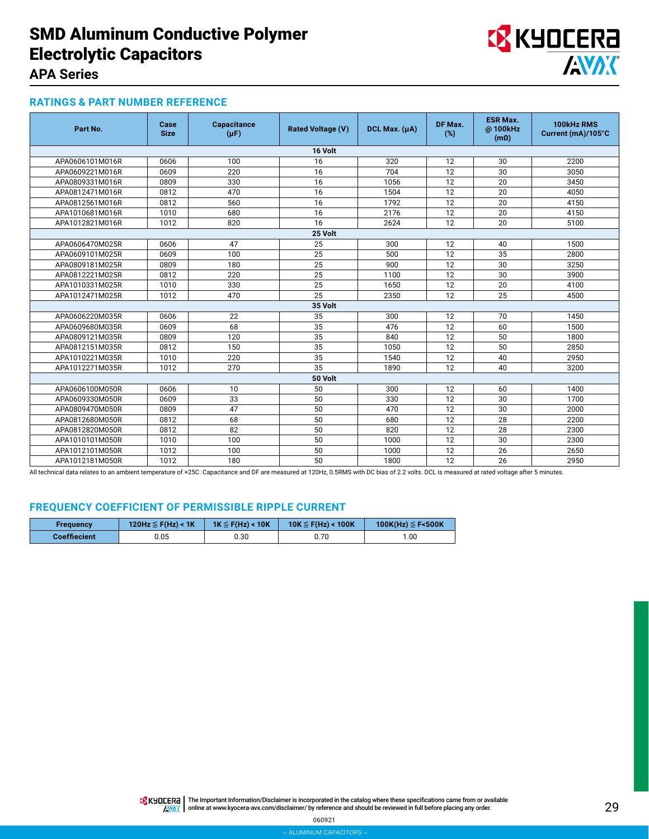

### **APA Series**

#### **RATINGS & PART NUMBER REFERENCE**

| Part No.        | Case<br><b>Size</b> | Capacitance<br>$(\mu F)$ | <b>Rated Voltage (V)</b> | DCL Max. $(\mu A)$ | DF Max.<br>(%) | <b>ESR Max.</b><br>@100kHz<br>$(m\Omega)$ | 100kHz RMS<br>Current (mA)/105°C |  |  |  |  |
|-----------------|---------------------|--------------------------|--------------------------|--------------------|----------------|-------------------------------------------|----------------------------------|--|--|--|--|
|                 | 16 Volt             |                          |                          |                    |                |                                           |                                  |  |  |  |  |
| APA0606101M016R | 0606                | 100                      | 16                       | 320                | 12             | 30                                        | 2200                             |  |  |  |  |
| APA0609221M016R | 0609                | 220                      | 16                       | 704                | 12             | 30                                        | 3050                             |  |  |  |  |
| APA0809331M016R | 0809                | 330                      | 16                       | 1056               | 12             | 20                                        | 3450                             |  |  |  |  |
| APA0812471M016R | 0812                | 470                      | 16                       | 1504               | 12             | 20                                        | 4050                             |  |  |  |  |
| APA0812561M016R | 0812                | 560                      | 16                       | 1792               | 12             | 20                                        | 4150                             |  |  |  |  |
| APA1010681M016R | 1010                | 680                      | 16                       | 2176               | 12             | 20                                        | 4150                             |  |  |  |  |
| APA1012821M016R | 1012                | 820                      | 16                       | 2624               | 12             | 20                                        | 5100                             |  |  |  |  |
|                 |                     |                          | 25 Volt                  |                    |                |                                           |                                  |  |  |  |  |
| APA0606470M025R | 0606                | 47                       | 25                       | 300                | 12             | 40                                        | 1500                             |  |  |  |  |
| APA0609101M025R | 0609                | 100                      | 25                       | 500                | 12             | 35                                        | 2800                             |  |  |  |  |
| APA0809181M025R | 0809                | 180                      | 25                       | 900                | 12             | 30                                        | 3250                             |  |  |  |  |
| APA0812221M025R | 0812                | 220                      | 25                       | 1100               | 12             | 30                                        | 3900                             |  |  |  |  |
| APA1010331M025R | 1010                | 330                      | 25                       | 1650               | 12             | 20                                        | 4100                             |  |  |  |  |
| APA1012471M025R | 1012                | 470                      | 25                       | 2350               | 12             | 25                                        | 4500                             |  |  |  |  |
|                 |                     |                          | 35 Volt                  |                    |                |                                           |                                  |  |  |  |  |
| APA0606220M035R | 0606                | 22                       | 35                       | 300                | 12             | 70                                        | 1450                             |  |  |  |  |
| APA0609680M035R | 0609                | 68                       | 35                       | 476                | 12             | 60                                        | 1500                             |  |  |  |  |
| APA0809121M035R | 0809                | 120                      | 35                       | 840                | 12             | 50                                        | 1800                             |  |  |  |  |
| APA0812151M035R | 0812                | 150                      | 35                       | 1050               | 12             | 50                                        | 2850                             |  |  |  |  |
| APA1010221M035R | 1010                | 220                      | 35                       | 1540               | 12             | 40                                        | 2950                             |  |  |  |  |
| APA1012271M035R | 1012                | 270                      | 35                       | 1890               | 12             | 40                                        | 3200                             |  |  |  |  |
|                 |                     |                          | 50 Volt                  |                    |                |                                           |                                  |  |  |  |  |
| APA0606100M050R | 0606                | 10                       | 50                       | 300                | 12             | 60                                        | 1400                             |  |  |  |  |
| APA0609330M050R | 0609                | 33                       | 50                       | 330                | 12             | 30                                        | 1700                             |  |  |  |  |
| APA0809470M050R | 0809                | 47                       | 50                       | 470                | 12             | 30                                        | 2000                             |  |  |  |  |
| APA0812680M050R | 0812                | 68                       | 50                       | 680                | 12             | 28                                        | 2200                             |  |  |  |  |
| APA0812820M050R | 0812                | 82                       | 50                       | 820                | 12             | 28                                        | 2300                             |  |  |  |  |
| APA1010101M050R | 1010                | 100                      | 50                       | 1000               | 12             | 30                                        | 2300                             |  |  |  |  |
| APA1012101M050R | 1012                | 100                      | 50                       | 1000               | 12             | 26                                        | 2650                             |  |  |  |  |
| APA1012181M050R | 1012                | 180                      | 50                       | 1800               | 12             | 26                                        | 2950                             |  |  |  |  |

All technical data relates to an ambient temperature of +25C. Capacitance and DF are measured at 120Hz, 0.5RMS with DC bias of 2.2 volts. DCL is measured at rated voltage after 5 minutes.

#### **FREQUENCY COEFFICIENT OF PERMISSIBLE RIPPLE CURRENT**

| Frequency           | 120Hz $\leq$ F(Hz) < 1K | $1K \leq F(Hz) < 10K$ | $10K \leq F(Hz) < 100K$ | 100K(Hz) $\leq$ F<500K |  |
|---------------------|-------------------------|-----------------------|-------------------------|------------------------|--|
| <b>Coeffiecient</b> | 0.05                    | 0.30                  | 0.70                    | 1.00                   |  |

**TA KYOCERE** The Important Information/Disclaimer is incorporated in the catalog where these specifications came from or available AVAX online at [www.kyocera-avx.com/disclaimer/](http://www.kyocera-avx.com/disclaimer/) by reference and should be reviewed in full before placing any order.

060921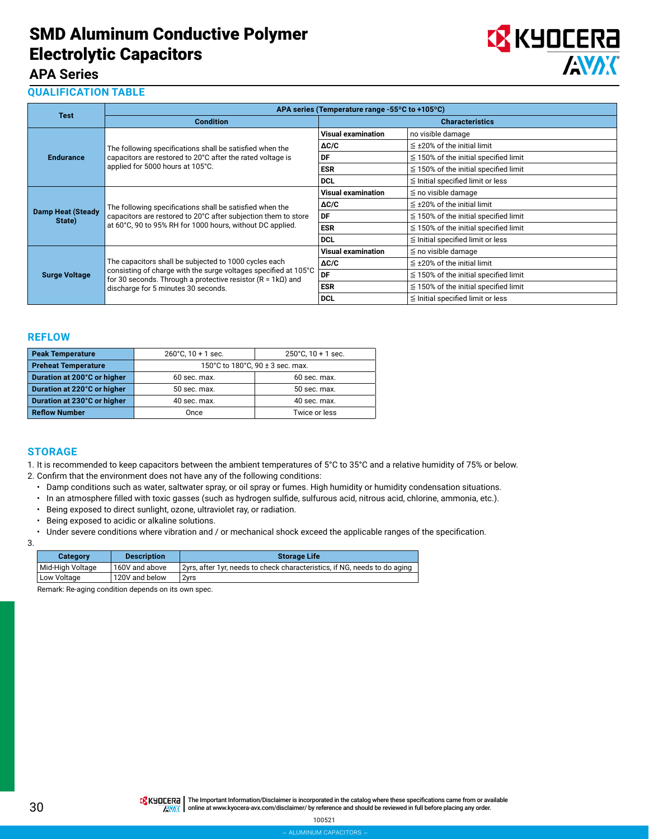

### **APA Series**

#### **QUALIFICATION TABLE**

|                                    |                                                                                                                                                                                         | APA series (Temperature range -55°C to +105°C) |                                            |
|------------------------------------|-----------------------------------------------------------------------------------------------------------------------------------------------------------------------------------------|------------------------------------------------|--------------------------------------------|
| <b>Test</b>                        | <b>Condition</b>                                                                                                                                                                        |                                                | <b>Characteristics</b>                     |
|                                    |                                                                                                                                                                                         | <b>Visual examination</b>                      | no visible damage                          |
|                                    | The following specifications shall be satisfied when the                                                                                                                                | $\Delta C/C$                                   | $\leq$ ±20% of the initial limit           |
| <b>Endurance</b>                   | capacitors are restored to 20°C after the rated voltage is                                                                                                                              | DF                                             | $\leq$ 150% of the initial specified limit |
|                                    | applied for 5000 hours at 105°C.                                                                                                                                                        | <b>ESR</b>                                     | $\leq$ 150% of the initial specified limit |
|                                    |                                                                                                                                                                                         | <b>DCL</b>                                     | $\leq$ Initial specified limit or less     |
|                                    | The following specifications shall be satisfied when the<br>capacitors are restored to 20°C after subjection them to store<br>at 60°C, 90 to 95% RH for 1000 hours, without DC applied. | <b>Visual examination</b>                      | $\leq$ no visible damage                   |
|                                    |                                                                                                                                                                                         | $\Delta C/C$                                   | $\leq$ ±20% of the initial limit           |
| <b>Damp Heat (Steady</b><br>State) |                                                                                                                                                                                         | DF                                             | $\leq$ 150% of the initial specified limit |
|                                    |                                                                                                                                                                                         | <b>ESR</b>                                     | $\leq$ 150% of the initial specified limit |
|                                    |                                                                                                                                                                                         | <b>DCL</b>                                     | $\leq$ Initial specified limit or less     |
|                                    |                                                                                                                                                                                         | <b>Visual examination</b>                      | $\leq$ no visible damage                   |
|                                    | The capacitors shall be subjected to 1000 cycles each                                                                                                                                   | $\Delta C/C$                                   | $\leq$ ±20% of the initial limit           |
| <b>Surge Voltage</b>               | consisting of charge with the surge voltages specified at 105°C<br>for 30 seconds. Through a protective resistor ( $R = 1kQ$ ) and                                                      | DF                                             | $\leq$ 150% of the initial specified limit |
|                                    | discharge for 5 minutes 30 seconds.                                                                                                                                                     | <b>ESR</b>                                     | $\leq$ 150% of the initial specified limit |
|                                    |                                                                                                                                                                                         | <b>DCL</b>                                     | $\leq$ Initial specified limit or less     |

#### **REFLOW**

| <b>Peak Temperature</b>     | $260^{\circ}$ C, 10 + 1 sec. | $250^{\circ}$ C, 10 + 1 sec.         |  |  |
|-----------------------------|------------------------------|--------------------------------------|--|--|
| <b>Preheat Temperature</b>  |                              | 150°C to 180°C, 90 $\pm$ 3 sec. max. |  |  |
| Duration at 200°C or higher | 60 sec. max.                 | $60$ sec. max.                       |  |  |
| Duration at 220°C or higher | 50 sec. max.                 | 50 sec. max.                         |  |  |
| Duration at 230°C or higher | 40 sec. max.                 | 40 sec. max.                         |  |  |
| <b>Reflow Number</b>        | Once                         | Twice or less                        |  |  |

#### **STORAGE**

1. It is recommended to keep capacitors between the ambient temperatures of 5°C to 35°C and a relative humidity of 75% or below.

- 2. Confirm that the environment does not have any of the following conditions:
	- Damp conditions such as water, saltwater spray, or oil spray or fumes. High humidity or humidity condensation situations.
	- In an atmosphere filled with toxic gasses (such as hydrogen sulfide, sulfurous acid, nitrous acid, chlorine, ammonia, etc.).
	- Being exposed to direct sunlight, ozone, ultraviolet ray, or radiation.
	- Being exposed to acidic or alkaline solutions.
	- Under severe conditions where vibration and / or mechanical shock exceed the applicable ranges of the specification.

|         | ٦       |  |
|---------|---------|--|
|         | I       |  |
| ×<br>M. | I<br>۰, |  |

| <b>Category</b>  | <b>Description</b> | <b>Storage Life</b>                                                       |
|------------------|--------------------|---------------------------------------------------------------------------|
| Mid-High Voltage | 160V and above     | 2yrs, after 1yr, needs to check characteristics, if NG, needs to do aging |
| Low Voltage      | 120V and below     | 2vrs                                                                      |

Remark: Re-aging condition depends on its own spec.